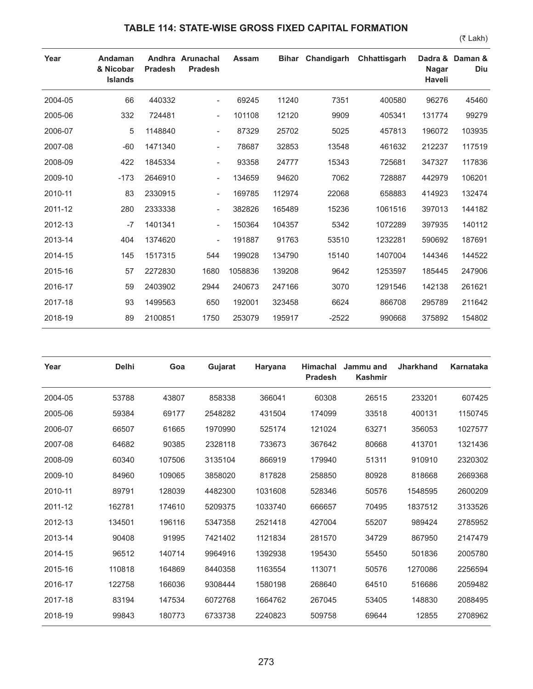## **TABLE 114: STATE-WISE GROSS FIXED CAPITAL FORMATION**

(₹ Lakh)

| Year    | Andaman<br>& Nicobar<br><b>Islands</b> | <b>Pradesh</b> | Andhra Arunachal<br>Pradesh | Assam   |        | Bihar Chandigarh | Chhattisgarh | Dadra &<br><b>Nagar</b><br>Haveli | Daman &<br>Diu |
|---------|----------------------------------------|----------------|-----------------------------|---------|--------|------------------|--------------|-----------------------------------|----------------|
| 2004-05 | 66                                     | 440332         | $\overline{\phantom{a}}$    | 69245   | 11240  | 7351             | 400580       | 96276                             | 45460          |
| 2005-06 | 332                                    | 724481         | $\overline{\phantom{a}}$    | 101108  | 12120  | 9909             | 405341       | 131774                            | 99279          |
| 2006-07 | 5                                      | 1148840        | $\overline{\phantom{a}}$    | 87329   | 25702  | 5025             | 457813       | 196072                            | 103935         |
| 2007-08 | $-60$                                  | 1471340        | $\overline{\phantom{a}}$    | 78687   | 32853  | 13548            | 461632       | 212237                            | 117519         |
| 2008-09 | 422                                    | 1845334        | $\overline{\phantom{a}}$    | 93358   | 24777  | 15343            | 725681       | 347327                            | 117836         |
| 2009-10 | $-173$                                 | 2646910        | $\overline{\phantom{a}}$    | 134659  | 94620  | 7062             | 728887       | 442979                            | 106201         |
| 2010-11 | 83                                     | 2330915        | $\sim$                      | 169785  | 112974 | 22068            | 658883       | 414923                            | 132474         |
| 2011-12 | 280                                    | 2333338        | $\overline{\phantom{a}}$    | 382826  | 165489 | 15236            | 1061516      | 397013                            | 144182         |
| 2012-13 | $-7$                                   | 1401341        | $\overline{\phantom{a}}$    | 150364  | 104357 | 5342             | 1072289      | 397935                            | 140112         |
| 2013-14 | 404                                    | 1374620        | $\overline{\phantom{a}}$    | 191887  | 91763  | 53510            | 1232281      | 590692                            | 187691         |
| 2014-15 | 145                                    | 1517315        | 544                         | 199028  | 134790 | 15140            | 1407004      | 144346                            | 144522         |
| 2015-16 | 57                                     | 2272830        | 1680                        | 1058836 | 139208 | 9642             | 1253597      | 185445                            | 247906         |
| 2016-17 | 59                                     | 2403902        | 2944                        | 240673  | 247166 | 3070             | 1291546      | 142138                            | 261621         |
| 2017-18 | 93                                     | 1499563        | 650                         | 192001  | 323458 | 6624             | 866708       | 295789                            | 211642         |
| 2018-19 | 89                                     | 2100851        | 1750                        | 253079  | 195917 | $-2522$          | 990668       | 375892                            | 154802         |

| Year    | <b>Delhi</b> | Goa    | Gujarat | Haryana | <b>Himachal</b><br><b>Pradesh</b> | Jammu and<br><b>Kashmir</b> | <b>Jharkhand</b> | Karnataka |
|---------|--------------|--------|---------|---------|-----------------------------------|-----------------------------|------------------|-----------|
| 2004-05 | 53788        | 43807  | 858338  | 366041  | 60308                             | 26515                       | 233201           | 607425    |
| 2005-06 | 59384        | 69177  | 2548282 | 431504  | 174099                            | 33518                       | 400131           | 1150745   |
| 2006-07 | 66507        | 61665  | 1970990 | 525174  | 121024                            | 63271                       | 356053           | 1027577   |
| 2007-08 | 64682        | 90385  | 2328118 | 733673  | 367642                            | 80668                       | 413701           | 1321436   |
| 2008-09 | 60340        | 107506 | 3135104 | 866919  | 179940                            | 51311                       | 910910           | 2320302   |
| 2009-10 | 84960        | 109065 | 3858020 | 817828  | 258850                            | 80928                       | 818668           | 2669368   |
| 2010-11 | 89791        | 128039 | 4482300 | 1031608 | 528346                            | 50576                       | 1548595          | 2600209   |
| 2011-12 | 162781       | 174610 | 5209375 | 1033740 | 666657                            | 70495                       | 1837512          | 3133526   |
| 2012-13 | 134501       | 196116 | 5347358 | 2521418 | 427004                            | 55207                       | 989424           | 2785952   |
| 2013-14 | 90408        | 91995  | 7421402 | 1121834 | 281570                            | 34729                       | 867950           | 2147479   |
| 2014-15 | 96512        | 140714 | 9964916 | 1392938 | 195430                            | 55450                       | 501836           | 2005780   |
| 2015-16 | 110818       | 164869 | 8440358 | 1163554 | 113071                            | 50576                       | 1270086          | 2256594   |
| 2016-17 | 122758       | 166036 | 9308444 | 1580198 | 268640                            | 64510                       | 516686           | 2059482   |
| 2017-18 | 83194        | 147534 | 6072768 | 1664762 | 267045                            | 53405                       | 148830           | 2088495   |
| 2018-19 | 99843        | 180773 | 6733738 | 2240823 | 509758                            | 69644                       | 12855            | 2708962   |